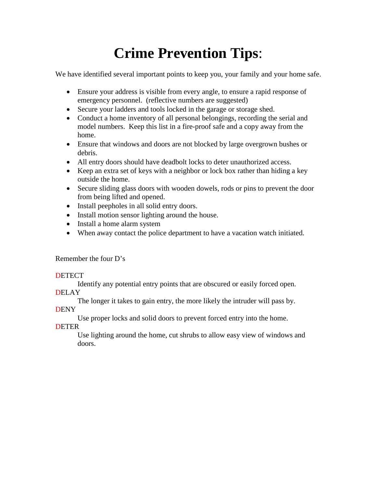# **Crime Prevention Tips**:

We have identified several important points to keep you, your family and your home safe.

- Ensure your address is visible from every angle, to ensure a rapid response of emergency personnel. (reflective numbers are suggested)
- Secure your ladders and tools locked in the garage or storage shed.
- Conduct a home inventory of all personal belongings, recording the serial and model numbers. Keep this list in a fire-proof safe and a copy away from the home.
- Ensure that windows and doors are not blocked by large overgrown bushes or debris.
- All entry doors should have deadbolt locks to deter unauthorized access.
- Keep an extra set of keys with a neighbor or lock box rather than hiding a key outside the home.
- Secure sliding glass doors with wooden dowels, rods or pins to prevent the door from being lifted and opened.
- Install peepholes in all solid entry doors.
- Install motion sensor lighting around the house.
- Install a home alarm system
- When away contact the police department to have a vacation watch initiated.

Remember the four D's

#### **DETECT**

Identify any potential entry points that are obscured or easily forced open. **DELAY** 

The longer it takes to gain entry, the more likely the intruder will pass by.

**DENY** 

Use proper locks and solid doors to prevent forced entry into the home.

**DETER** 

Use lighting around the home, cut shrubs to allow easy view of windows and doors.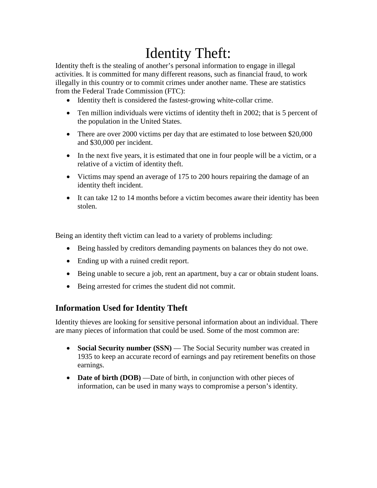# Identity Theft:

Identity theft is the stealing of another's personal information to engage in illegal activities. It is committed for many different reasons, such as financial fraud, to work illegally in this country or to commit crimes under another name. These are statistics from the Federal Trade Commission (FTC):

- Identity theft is considered the fastest-growing white-collar crime.
- Ten million individuals were victims of identity theft in 2002; that is 5 percent of the population in the United States.
- There are over 2000 victims per day that are estimated to lose between \$20,000 and \$30,000 per incident.
- In the next five years, it is estimated that one in four people will be a victim, or a relative of a victim of identity theft.
- Victims may spend an average of 175 to 200 hours repairing the damage of an identity theft incident.
- It can take 12 to 14 months before a victim becomes aware their identity has been stolen.

Being an identity theft victim can lead to a variety of problems including:

- Being hassled by creditors demanding payments on balances they do not owe.
- Ending up with a ruined credit report.
- Being unable to secure a job, rent an apartment, buy a car or obtain student loans.
- Being arrested for crimes the student did not commit.

## **Information Used for Identity Theft**

Identity thieves are looking for sensitive personal information about an individual. There are many pieces of information that could be used. Some of the most common are:

- **Social Security number (SSN)** The Social Security number was created in 1935 to keep an accurate record of earnings and pay retirement benefits on those earnings.
- **Date of birth (DOB)** —Date of birth, in conjunction with other pieces of information, can be used in many ways to compromise a person's identity.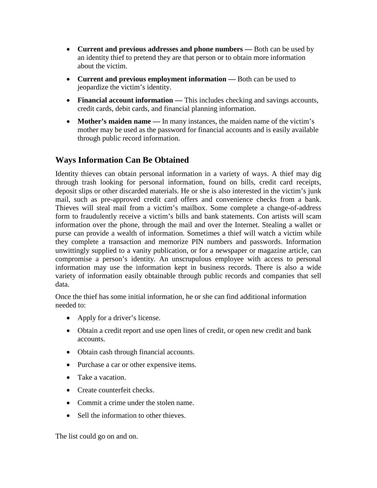- **Current and previous addresses and phone numbers —** Both can be used by an identity thief to pretend they are that person or to obtain more information about the victim.
- **Current and previous employment information —** Both can be used to jeopardize the victim's identity.
- **Financial account information —** This includes checking and savings accounts, credit cards, debit cards, and financial planning information.
- **Mother's maiden name —** In many instances, the maiden name of the victim's mother may be used as the password for financial accounts and is easily available through public record information.

## **Ways Information Can Be Obtained**

Identity thieves can obtain personal information in a variety of ways. A thief may dig through trash looking for personal information, found on bills, credit card receipts, deposit slips or other discarded materials. He or she is also interested in the victim's junk mail, such as pre-approved credit card offers and convenience checks from a bank. Thieves will steal mail from a victim's mailbox. Some complete a change-of-address form to fraudulently receive a victim's bills and bank statements. Con artists will scam information over the phone, through the mail and over the Internet. Stealing a wallet or purse can provide a wealth of information. Sometimes a thief will watch a victim while they complete a transaction and memorize PIN numbers and passwords. Information unwittingly supplied to a vanity publication, or for a newspaper or magazine article, can compromise a person's identity. An unscrupulous employee with access to personal information may use the information kept in business records. There is also a wide variety of information easily obtainable through public records and companies that sell data.

Once the thief has some initial information, he or she can find additional information needed to:

- Apply for a driver's license.
- Obtain a credit report and use open lines of credit, or open new credit and bank accounts.
- Obtain cash through financial accounts.
- Purchase a car or other expensive items.
- Take a vacation.
- Create counterfeit checks.
- Commit a crime under the stolen name.
- Sell the information to other thieves.

The list could go on and on.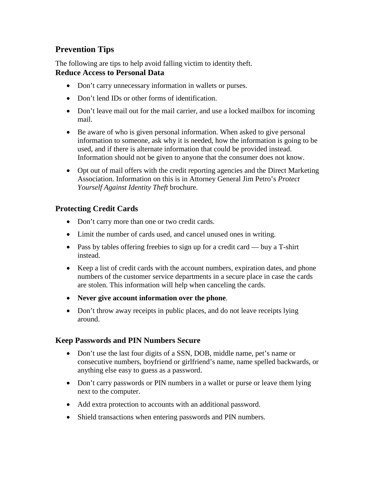# **Prevention Tips**

The following are tips to help avoid falling victim to identity theft. **Reduce Access to Personal Data**

- Don't carry unnecessary information in wallets or purses.
- Don't lend IDs or other forms of identification.
- Don't leave mail out for the mail carrier, and use a locked mailbox for incoming mail.
- Be aware of who is given personal information. When asked to give personal information to someone, ask why it is needed, how the information is going to be used, and if there is alternate information that could be provided instead. Information should not be given to anyone that the consumer does not know.
- Opt out of mail offers with the credit reporting agencies and the Direct Marketing Association. Information on this is in Attorney General Jim Petro's *Protect Yourself Against Identity Theft* brochure.

## **Protecting Credit Cards**

- Don't carry more than one or two credit cards.
- Limit the number of cards used, and cancel unused ones in writing.
- Pass by tables offering freebies to sign up for a credit card buy a T-shirt instead.
- Keep a list of credit cards with the account numbers, expiration dates, and phone numbers of the customer service departments in a secure place in case the cards are stolen. This information will help when canceling the cards.
- **Never give account information over the phone**.
- Don't throw away receipts in public places, and do not leave receipts lying around.

### **Keep Passwords and PIN Numbers Secure**

- Don't use the last four digits of a SSN, DOB, middle name, pet's name or consecutive numbers, boyfriend or girlfriend's name, name spelled backwards, or anything else easy to guess as a password.
- Don't carry passwords or PIN numbers in a wallet or purse or leave them lying next to the computer.
- Add extra protection to accounts with an additional password.
- Shield transactions when entering passwords and PIN numbers.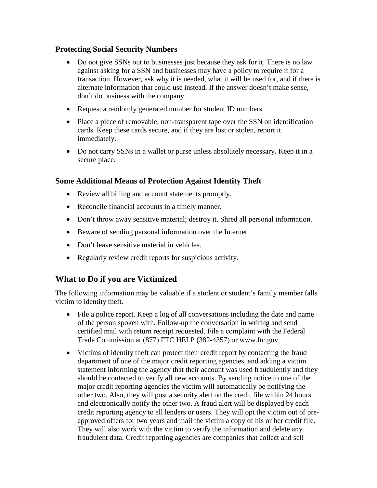#### **Protecting Social Security Numbers**

- Do not give SSNs out to businesses just because they ask for it. There is no law against asking for a SSN and businesses may have a policy to require it for a transaction. However, ask why it is needed, what it will be used for, and if there is alternate information that could use instead. If the answer doesn't make sense, don't do business with the company.
- Request a randomly generated number for student ID numbers.
- Place a piece of removable, non-transparent tape over the SSN on identification cards. Keep these cards secure, and if they are lost or stolen, report it immediately.
- Do not carry SSNs in a wallet or purse unless absolutely necessary. Keep it in a secure place.

## **Some Additional Means of Protection Against Identity Theft**

- Review all billing and account statements promptly.
- Reconcile financial accounts in a timely manner.
- Don't throw away sensitive material; destroy it. Shred all personal information.
- Beware of sending personal information over the Internet.
- Don't leave sensitive material in vehicles.
- Regularly review credit reports for suspicious activity.

## **What to Do if you are Victimized**

The following information may be valuable if a student or student's family member falls victim to identity theft.

- File a police report. Keep a log of all conversations including the date and name of the person spoken with. Follow-up the conversation in writing and send certified mail with return receipt requested. File a complaint with the Federal Trade Commission at (877) FTC HELP (382-4357) or www.ftc.gov.
- Victims of identity theft can protect their credit report by contacting the fraud department of one of the major credit reporting agencies, and adding a victim statement informing the agency that their account was used fraudulently and they should be contacted to verify all new accounts. By sending notice to one of the major credit reporting agencies the victim will automatically be notifying the other two. Also, they will post a security alert on the credit file within 24 hours and electronically notify the other two. A fraud alert will be displayed by each credit reporting agency to all lenders or users. They will opt the victim out of preapproved offers for two years and mail the victim a copy of his or her credit file. They will also work with the victim to verify the information and delete any fraudulent data. Credit reporting agencies are companies that collect and sell